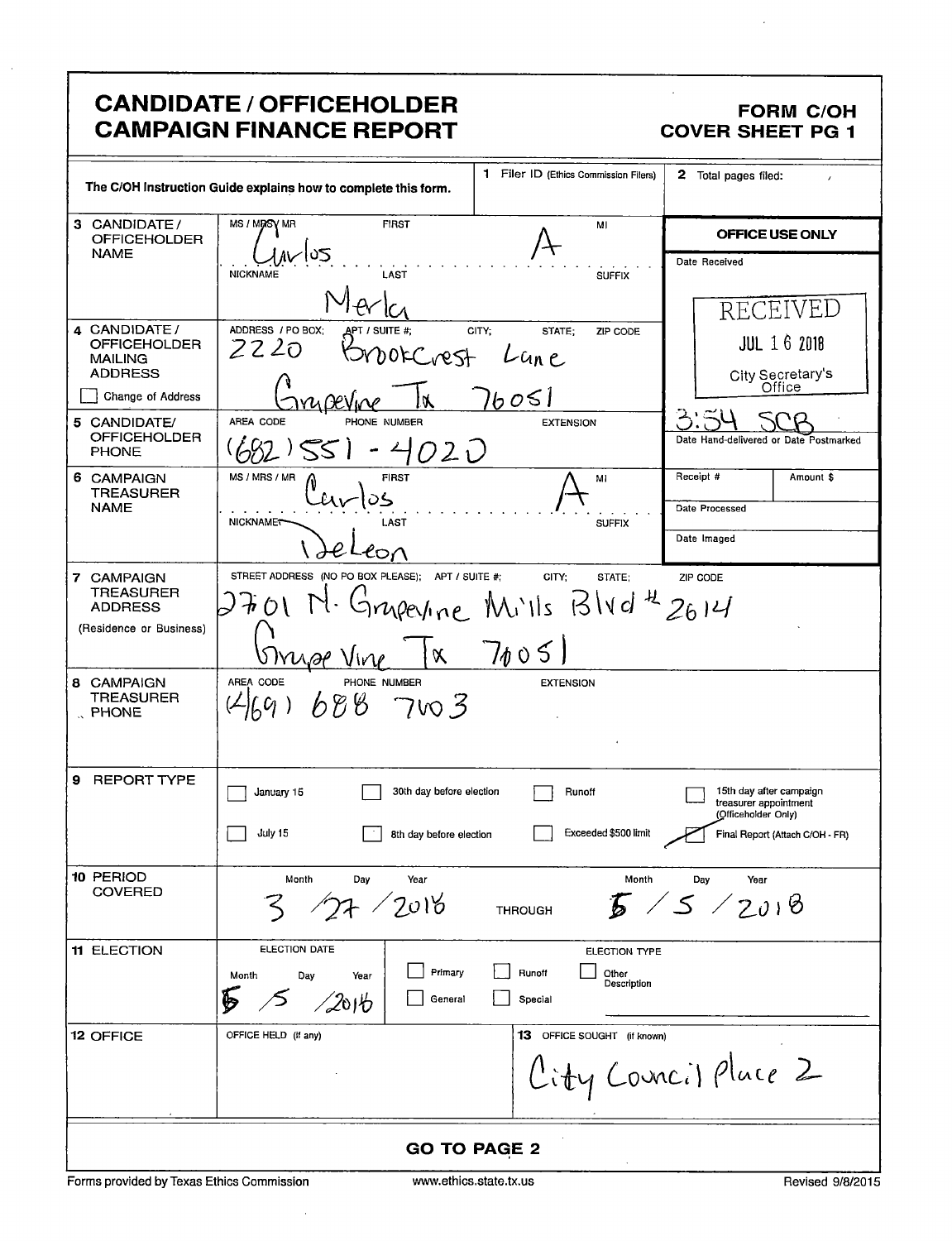|                                                                                                                                                      | <b>CANDIDATE / OFFICEHOLDER</b><br><b>CAMPAIGN FINANCE REPORT</b>                                       |                                                                 | <b>FORM C/OH</b><br><b>COVER SHEET PG 1</b>                                                                   |  |
|------------------------------------------------------------------------------------------------------------------------------------------------------|---------------------------------------------------------------------------------------------------------|-----------------------------------------------------------------|---------------------------------------------------------------------------------------------------------------|--|
|                                                                                                                                                      | The C/OH Instruction Guide explains how to complete this form.                                          | 1 Filer ID (Ethics Commission Filers)                           | 2 Total pages filed:                                                                                          |  |
| 3 CANDIDATE/<br><b>OFFICEHOLDER</b><br><b>NAME</b>                                                                                                   | MS / MRSV MR<br><b>FIRST</b><br><b>NICKNAME</b><br>LAST                                                 | MI<br><b>SUFFIX</b>                                             | OFFICE USE ONLY<br>Date Received                                                                              |  |
| 4 CANDIDATE /<br><b>OFFICEHOLDER</b><br><b>MAILING</b><br><b>ADDRESS</b><br>Change of Address<br>5 CANDIDATE/<br><b>OFFICEHOLDER</b><br><b>PHONE</b> | ADDRESS / PO BOX:<br>CITY:<br>\pt / suite #:<br>2220<br>borCrest<br>AREA CODE<br>PHONE NUMBER<br>- 4020 | STATE:<br>ZIP CODE<br>Lun e<br>boSl<br><b>EXTENSION</b>         | RECEIVEL<br><b>JUL 16 2018</b><br>City Secretary's<br>Office<br>გ:≈<br>Date Hand-delivered or Date Postmarked |  |
| 6 CAMPAIGN<br><b>TREASURER</b><br><b>NAME</b>                                                                                                        | MS / MRS / MR<br><b>FIRST</b><br>NICKNAMET<br>LAST<br>eon                                               | MI<br><b>SUFFIX</b>                                             | Receipt #<br>Amount \$<br>Date Processed<br>Date Imaged                                                       |  |
| 7 CAMPAIGN<br><b>TREASURER</b><br><b>ADDRESS</b><br>(Residence or Business)                                                                          | STREET ADDRESS (NO PO BOX PLEASE); APT / SUITE #;<br>$\alpha$                                           | CITY:<br>STATE:<br>upeyine Mills Blvd <sup>4</sup> 2614<br>7005 | ZIP CODE                                                                                                      |  |
| 8 CAMPAIGN<br>TREASURER<br>PHONE                                                                                                                     | AREA CODE<br>PHONE NUMBER<br>688 7003                                                                   | <b>EXTENSION</b>                                                |                                                                                                               |  |
| <b>REPORT TYPE</b><br>9                                                                                                                              | 30th day before election<br>January 15<br>July 15<br>8th day before election                            | Runoff<br>Exceeded \$500 limit                                  | 15th day after campaign<br>treasurer appointment<br>(Officeholder Only)<br>Final Report (Attach C/OH - FR)    |  |
| 10 PERIOD<br><b>COVERED</b>                                                                                                                          | Month<br>Day<br>Year<br>$^{\prime}$ 2018                                                                | Month<br><b>THROUGH</b>                                         | Day<br>Year<br>15/2018                                                                                        |  |
| <b>11 ELECTION</b>                                                                                                                                   | ELECTION DATE<br>Primary<br>Month<br>Day<br>Year<br>General<br>2016                                     | ELECTION TYPE<br>Runoff<br>Other<br>Description<br>Special      |                                                                                                               |  |
| 12 OFFICE                                                                                                                                            | OFFICE HELD (if any)                                                                                    | <b>13</b> OFFICE SOUGHT (if known)                              | City Council Place 2                                                                                          |  |
| <b>GO TO PAGE 2</b>                                                                                                                                  |                                                                                                         |                                                                 |                                                                                                               |  |

l,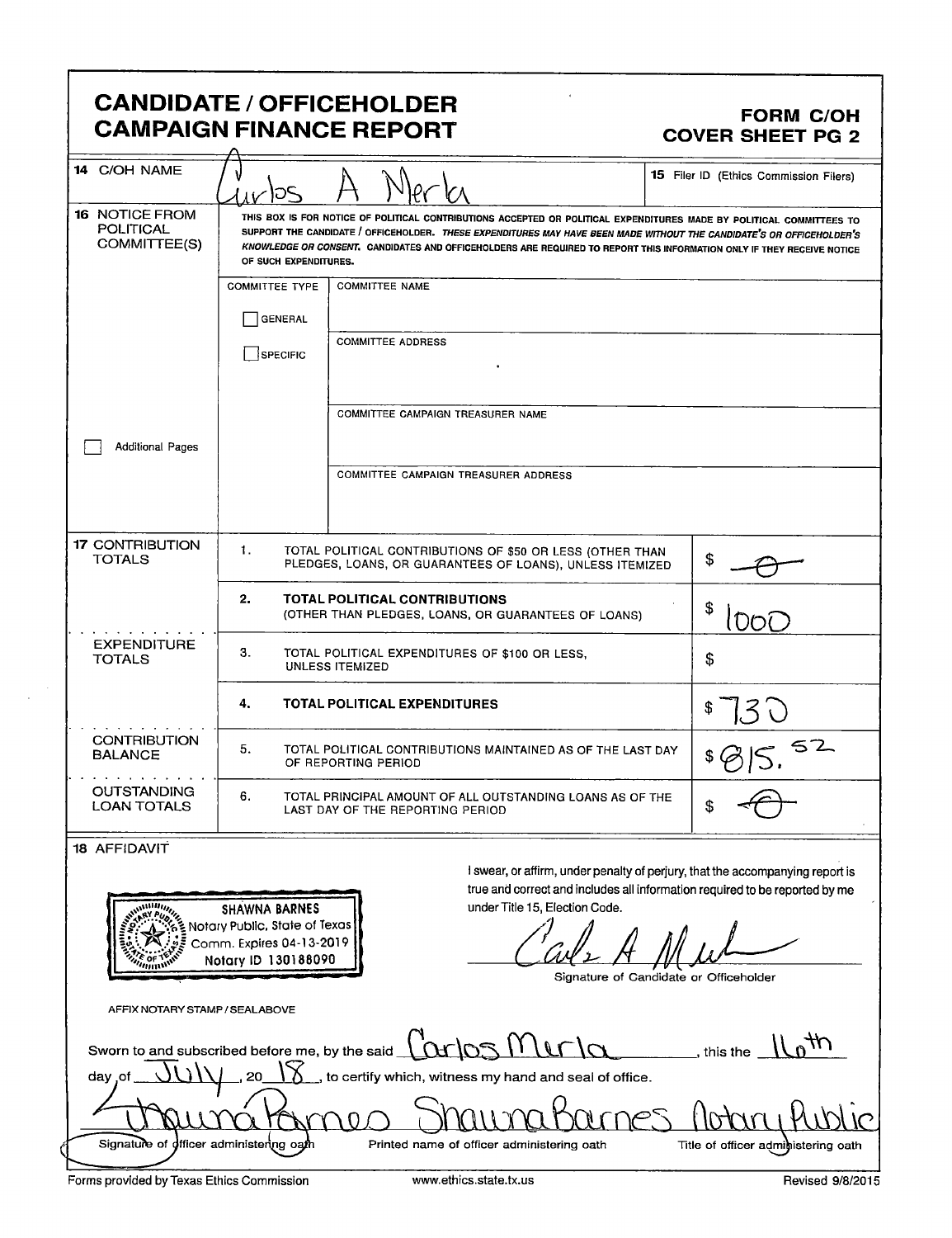### **CANDIDATE / OFFICEHOLDER CAMPAIGN FINANCE REPORT**

#### **FORM C/OH COVER SHEET PG 2**

| 14 C/OH NAME                                                                                                                                                                                                                                                                            | 105                                                                                                 |                                                                                                                                                                                                                                                                                                                                                                         |    | 15 Filer ID (Ethics Commission Filers)                                        |
|-----------------------------------------------------------------------------------------------------------------------------------------------------------------------------------------------------------------------------------------------------------------------------------------|-----------------------------------------------------------------------------------------------------|-------------------------------------------------------------------------------------------------------------------------------------------------------------------------------------------------------------------------------------------------------------------------------------------------------------------------------------------------------------------------|----|-------------------------------------------------------------------------------|
| <b>16 NOTICE FROM</b><br>POLITICAL<br>COMMITTEE(S)                                                                                                                                                                                                                                      | OF SUCH EXPENDITURES.                                                                               | THIS BOX IS FOR NOTICE OF POLITICAL CONTRIBUTIONS ACCEPTED OR POLITICAL EXPENDITURES MADE BY POLITICAL COMMITTEES TO<br>SUPPORT THE CANDIDATE / OFFICEHOLDER. THESE EXPENDITURES MAY HAVE BEEN MADE WITHOUT THE CANDIDATE'S OR OFFICEHOLDER'S<br>KNOWLEDGE OR CONSENT. CANDIDATES AND OFFICEHOLDERS ARE REQUIRED TO REPORT THIS INFORMATION ONLY IF THEY RECEIVE NOTICE |    |                                                                               |
|                                                                                                                                                                                                                                                                                         | <b>COMMITTEE TYPE</b>                                                                               | <b>COMMITTEE NAME</b>                                                                                                                                                                                                                                                                                                                                                   |    |                                                                               |
|                                                                                                                                                                                                                                                                                         | <b>GENERAL</b>                                                                                      |                                                                                                                                                                                                                                                                                                                                                                         |    |                                                                               |
|                                                                                                                                                                                                                                                                                         | <b>SPECIFIC</b>                                                                                     | <b>COMMITTEE ADDRESS</b>                                                                                                                                                                                                                                                                                                                                                |    |                                                                               |
|                                                                                                                                                                                                                                                                                         |                                                                                                     | COMMITTEE CAMPAIGN TREASURER NAME                                                                                                                                                                                                                                                                                                                                       |    |                                                                               |
| <b>Additional Pages</b>                                                                                                                                                                                                                                                                 |                                                                                                     |                                                                                                                                                                                                                                                                                                                                                                         |    |                                                                               |
|                                                                                                                                                                                                                                                                                         |                                                                                                     | COMMITTEE CAMPAIGN TREASURER ADDRESS                                                                                                                                                                                                                                                                                                                                    |    |                                                                               |
| <b>17 CONTRIBUTION</b><br>TOTALS                                                                                                                                                                                                                                                        | 1.                                                                                                  | TOTAL POLITICAL CONTRIBUTIONS OF \$50 OR LESS (OTHER THAN<br>PLEDGES, LOANS, OR GUARANTEES OF LOANS), UNLESS ITEMIZED                                                                                                                                                                                                                                                   | \$ |                                                                               |
|                                                                                                                                                                                                                                                                                         | 2.                                                                                                  | <b>TOTAL POLITICAL CONTRIBUTIONS</b><br>(OTHER THAN PLEDGES, LOANS, OR GUARANTEES OF LOANS)                                                                                                                                                                                                                                                                             |    | DOL                                                                           |
| <b>EXPENDITURE</b><br><b>TOTALS</b>                                                                                                                                                                                                                                                     | 3.<br>TOTAL POLITICAL EXPENDITURES OF \$100 OR LESS,<br>\$<br><b>UNLESS ITEMIZED</b>                |                                                                                                                                                                                                                                                                                                                                                                         |    |                                                                               |
|                                                                                                                                                                                                                                                                                         | 4.                                                                                                  | TOTAL POLITICAL EXPENDITURES                                                                                                                                                                                                                                                                                                                                            |    |                                                                               |
| <b>CONTRIBUTION</b><br><b>BALANCE</b>                                                                                                                                                                                                                                                   | 5.                                                                                                  | TOTAL POLITICAL CONTRIBUTIONS MAINTAINED AS OF THE LAST DAY<br>OF REPORTING PERIOD                                                                                                                                                                                                                                                                                      |    |                                                                               |
| <b>OUTSTANDING</b><br><b>LOAN TOTALS</b>                                                                                                                                                                                                                                                | 6.<br>TOTAL PRINCIPAL AMOUNT OF ALL OUTSTANDING LOANS AS OF THE<br>LAST DAY OF THE REPORTING PERIOD |                                                                                                                                                                                                                                                                                                                                                                         |    |                                                                               |
| 18 AFFIDAVIT                                                                                                                                                                                                                                                                            |                                                                                                     |                                                                                                                                                                                                                                                                                                                                                                         |    |                                                                               |
|                                                                                                                                                                                                                                                                                         |                                                                                                     |                                                                                                                                                                                                                                                                                                                                                                         |    | I swear, or affirm, under penalty of perjury, that the accompanying report is |
| true and correct and includes all information required to be reported by me<br>under Title 15, Election Code.<br>willing,<br><b>SHAWNA BARNES</b><br>Notary Public, State of Texas<br>Comm. Expires 04-13-2019<br>Notary ID 130188090<br>""""<br>Signature of Candidate or Officeholder |                                                                                                     |                                                                                                                                                                                                                                                                                                                                                                         |    |                                                                               |
| AFFIX NOTARY STAMP / SEALABOVE                                                                                                                                                                                                                                                          |                                                                                                     |                                                                                                                                                                                                                                                                                                                                                                         |    |                                                                               |

| Sworn to and subscribed before me, by the said $\int_M$ os $M$ of $M$                        | this the |  |
|----------------------------------------------------------------------------------------------|----------|--|
| $JUV$ . 20 $\sqrt{8}$<br>__, to certify which, witness my hand and seal of office.<br>day of |          |  |
| Dung Kropp Shoung Barnes Artro, Ribl                                                         |          |  |
|                                                                                              |          |  |

Forms provided by Texas Ethics Commission

Signature of officer administering oath

Printed name of officer administering oath

Title of officer administering oath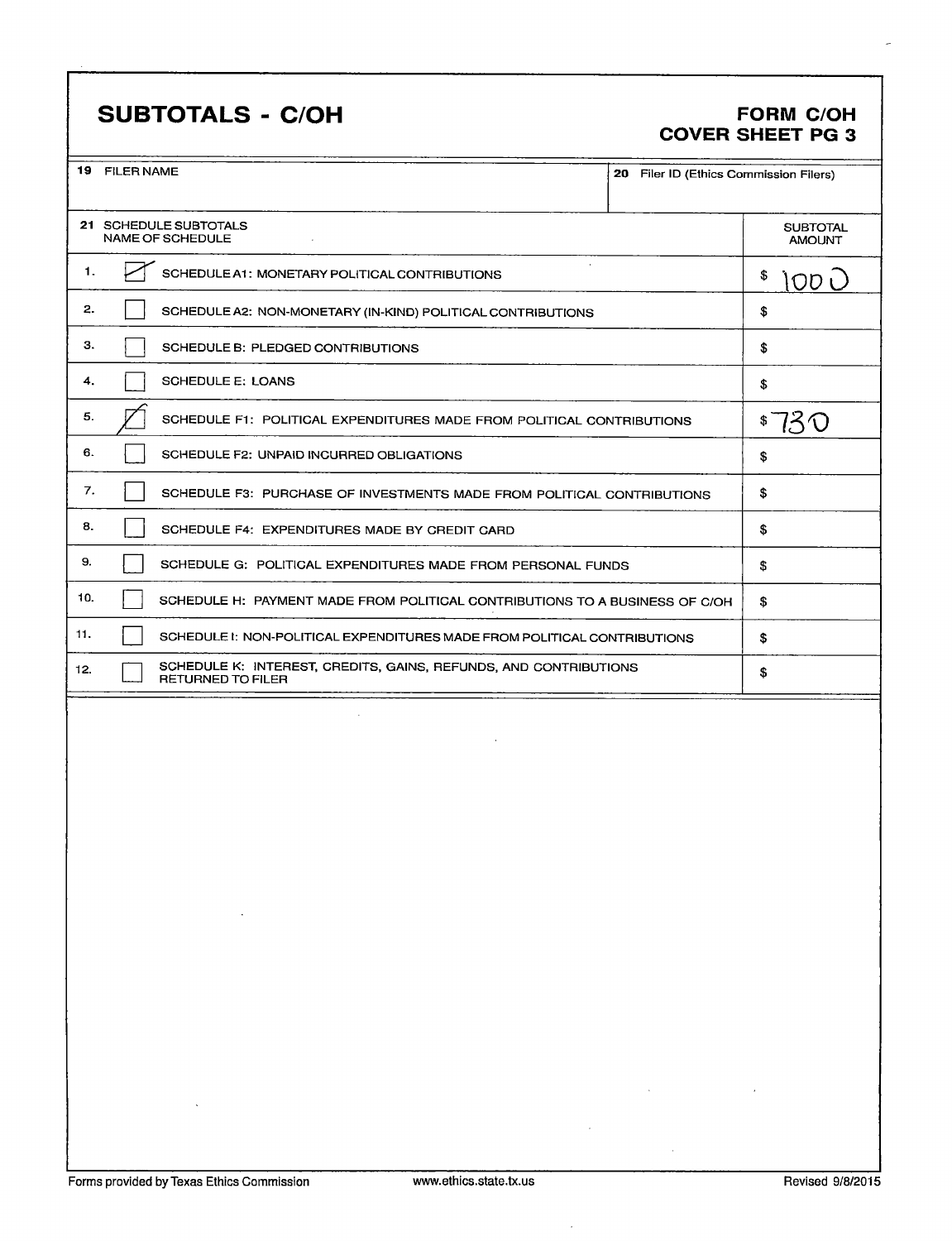## SUBTOTALS - C/OH FORM C/OH

# COVER SHEET PG 3

|     | 19 FILER NAME<br>20 Filer ID (Ethics Commission Filers)                                                                                                                                                                                                                                                                                                                                                                                                     |                                  |
|-----|-------------------------------------------------------------------------------------------------------------------------------------------------------------------------------------------------------------------------------------------------------------------------------------------------------------------------------------------------------------------------------------------------------------------------------------------------------------|----------------------------------|
|     |                                                                                                                                                                                                                                                                                                                                                                                                                                                             |                                  |
|     | 21 SCHEDULE SUBTOTALS<br><b>NAME OF SCHEDULE</b>                                                                                                                                                                                                                                                                                                                                                                                                            | <b>SUBTOTAL</b><br><b>AMOUNT</b> |
| 1.  | $\sim$<br>SCHEDULE A1: MONETARY POLITICAL CONTRIBUTIONS                                                                                                                                                                                                                                                                                                                                                                                                     | \$<br>10D L                      |
| 2.  | SCHEDULE A2: NON-MONETARY (IN-KIND) POLITICAL CONTRIBUTIONS                                                                                                                                                                                                                                                                                                                                                                                                 | \$                               |
| З.  | SCHEDULE B: PLEDGED CONTRIBUTIONS                                                                                                                                                                                                                                                                                                                                                                                                                           | \$                               |
| 4.  | <b>SCHEDULE E: LOANS</b>                                                                                                                                                                                                                                                                                                                                                                                                                                    | \$                               |
| 5.  | SCHEDULE F1: POLITICAL EXPENDITURES MADE FROM POLITICAL CONTRIBUTIONS                                                                                                                                                                                                                                                                                                                                                                                       | \$730                            |
| 6.  | SCHEDULE F2: UNPAID INCURRED OBLIGATIONS                                                                                                                                                                                                                                                                                                                                                                                                                    | \$                               |
| 7.  | SCHEDULE F3: PURCHASE OF INVESTMENTS MADE FROM POLITICAL CONTRIBUTIONS                                                                                                                                                                                                                                                                                                                                                                                      | \$                               |
| 8.  | SCHEDULE F4: EXPENDITURES MADE BY CREDIT CARD                                                                                                                                                                                                                                                                                                                                                                                                               | \$                               |
| 9.  | SCHEDULE G: POLITICAL EXPENDITURES MADE FROM PERSONAL FUNDS                                                                                                                                                                                                                                                                                                                                                                                                 | \$                               |
| 10. | SCHEDULE H: PAYMENT MADE FROM POLITICAL CONTRIBUTIONS TO A BUSINESS OF C/OH                                                                                                                                                                                                                                                                                                                                                                                 | \$                               |
| 11. | SCHEDULE I: NON-POLITICAL EXPENDITURES MADE FROM POLITICAL CONTRIBUTIONS                                                                                                                                                                                                                                                                                                                                                                                    | \$                               |
| 12. | SCHEDULE K: INTEREST, CREDITS, GAINS, REFUNDS, AND CONTRIBUTIONS<br><b>RETURNED TO FILER</b>                                                                                                                                                                                                                                                                                                                                                                | \$                               |
|     |                                                                                                                                                                                                                                                                                                                                                                                                                                                             |                                  |
|     |                                                                                                                                                                                                                                                                                                                                                                                                                                                             |                                  |
|     |                                                                                                                                                                                                                                                                                                                                                                                                                                                             |                                  |
|     |                                                                                                                                                                                                                                                                                                                                                                                                                                                             |                                  |
|     |                                                                                                                                                                                                                                                                                                                                                                                                                                                             |                                  |
|     |                                                                                                                                                                                                                                                                                                                                                                                                                                                             |                                  |
|     |                                                                                                                                                                                                                                                                                                                                                                                                                                                             |                                  |
|     |                                                                                                                                                                                                                                                                                                                                                                                                                                                             |                                  |
|     | the control of the control of the                                                                                                                                                                                                                                                                                                                                                                                                                           |                                  |
|     |                                                                                                                                                                                                                                                                                                                                                                                                                                                             |                                  |
|     |                                                                                                                                                                                                                                                                                                                                                                                                                                                             |                                  |
|     |                                                                                                                                                                                                                                                                                                                                                                                                                                                             |                                  |
|     |                                                                                                                                                                                                                                                                                                                                                                                                                                                             |                                  |
|     |                                                                                                                                                                                                                                                                                                                                                                                                                                                             |                                  |
|     |                                                                                                                                                                                                                                                                                                                                                                                                                                                             |                                  |
|     | $\mathcal{L}(\mathcal{L}(\mathcal{L}(\mathcal{L}(\mathcal{L}(\mathcal{L}(\mathcal{L}(\mathcal{L}(\mathcal{L}(\mathcal{L}(\mathcal{L}(\mathcal{L}(\mathcal{L}(\mathcal{L}(\mathcal{L}(\mathcal{L}(\mathcal{L}(\mathcal{L}(\mathcal{L}(\mathcal{L}(\mathcal{L}(\mathcal{L}(\mathcal{L}(\mathcal{L}(\mathcal{L}(\mathcal{L}(\mathcal{L}(\mathcal{L}(\mathcal{L}(\mathcal{L}(\mathcal{L}(\mathcal{L}(\mathcal{L}(\mathcal{L}(\mathcal{L}(\mathcal{L}(\mathcal{$ |                                  |
|     | $\mathcal{L}(\mathcal{L}(\mathcal{L}))$ and $\mathcal{L}(\mathcal{L}(\mathcal{L}))$ . The contribution of $\mathcal{L}(\mathcal{L})$                                                                                                                                                                                                                                                                                                                        |                                  |
|     |                                                                                                                                                                                                                                                                                                                                                                                                                                                             |                                  |

 $\bar{z}$